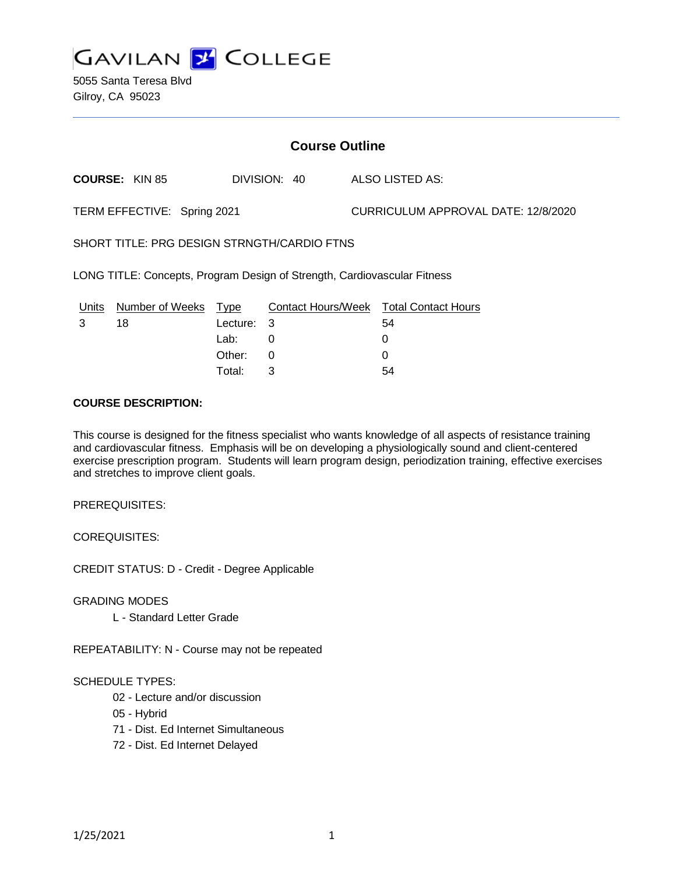

5055 Santa Teresa Blvd Gilroy, CA 95023

# **Course Outline**

**COURSE:** KIN 85 DIVISION: 40 ALSO LISTED AS:

TERM EFFECTIVE: Spring 2021 CURRICULUM APPROVAL DATE: 12/8/2020

SHORT TITLE: PRG DESIGN STRNGTH/CARDIO FTNS

LONG TITLE: Concepts, Program Design of Strength, Cardiovascular Fitness

| Units Number of Weeks Type |            | Contact Hours/Week Total Contact Hours |    |
|----------------------------|------------|----------------------------------------|----|
| 18                         | Lecture: 3 |                                        | 54 |
|                            | Lab:       |                                        |    |
|                            | Other: 0   |                                        |    |
|                            | Total:     |                                        | 54 |

#### **COURSE DESCRIPTION:**

This course is designed for the fitness specialist who wants knowledge of all aspects of resistance training and cardiovascular fitness. Emphasis will be on developing a physiologically sound and client-centered exercise prescription program. Students will learn program design, periodization training, effective exercises and stretches to improve client goals.

PREREQUISITES:

COREQUISITES:

CREDIT STATUS: D - Credit - Degree Applicable

GRADING MODES

L - Standard Letter Grade

REPEATABILITY: N - Course may not be repeated

### SCHEDULE TYPES:

- 02 Lecture and/or discussion
- 05 Hybrid
- 71 Dist. Ed Internet Simultaneous
- 72 Dist. Ed Internet Delayed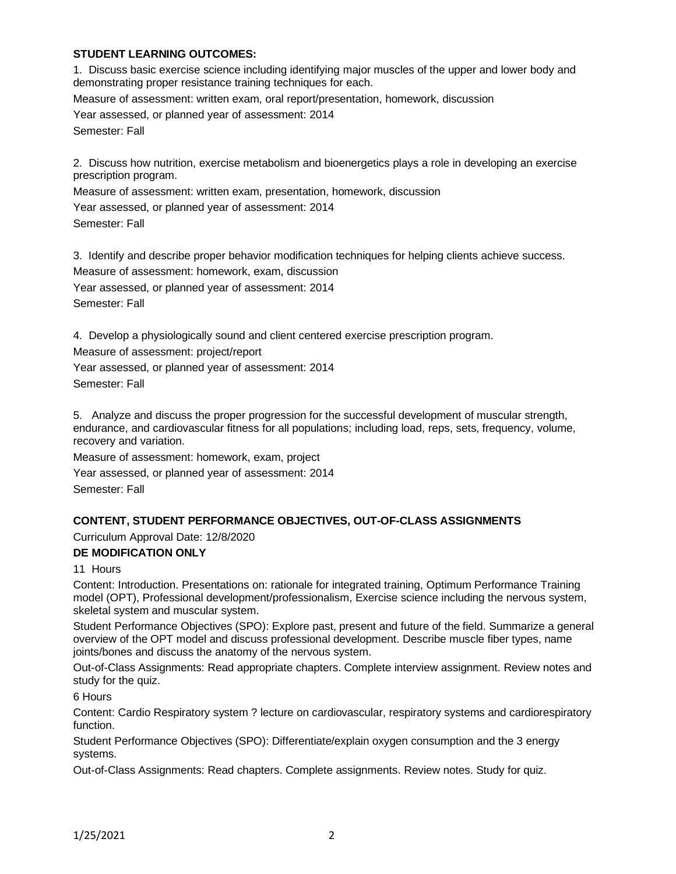### **STUDENT LEARNING OUTCOMES:**

1. Discuss basic exercise science including identifying major muscles of the upper and lower body and demonstrating proper resistance training techniques for each. Measure of assessment: written exam, oral report/presentation, homework, discussion Year assessed, or planned year of assessment: 2014 Semester: Fall

2. Discuss how nutrition, exercise metabolism and bioenergetics plays a role in developing an exercise prescription program.

Measure of assessment: written exam, presentation, homework, discussion

Year assessed, or planned year of assessment: 2014

Semester: Fall

3. Identify and describe proper behavior modification techniques for helping clients achieve success. Measure of assessment: homework, exam, discussion Year assessed, or planned year of assessment: 2014 Semester: Fall

4. Develop a physiologically sound and client centered exercise prescription program.

Measure of assessment: project/report

Year assessed, or planned year of assessment: 2014

Semester: Fall

5. Analyze and discuss the proper progression for the successful development of muscular strength, endurance, and cardiovascular fitness for all populations; including load, reps, sets, frequency, volume, recovery and variation.

Measure of assessment: homework, exam, project Year assessed, or planned year of assessment: 2014 Semester: Fall

### **CONTENT, STUDENT PERFORMANCE OBJECTIVES, OUT-OF-CLASS ASSIGNMENTS**

Curriculum Approval Date: 12/8/2020

### **DE MODIFICATION ONLY**

11 Hours

Content: Introduction. Presentations on: rationale for integrated training, Optimum Performance Training model (OPT), Professional development/professionalism, Exercise science including the nervous system, skeletal system and muscular system.

Student Performance Objectives (SPO): Explore past, present and future of the field. Summarize a general overview of the OPT model and discuss professional development. Describe muscle fiber types, name joints/bones and discuss the anatomy of the nervous system.

Out-of-Class Assignments: Read appropriate chapters. Complete interview assignment. Review notes and study for the quiz.

6 Hours

Content: Cardio Respiratory system ? lecture on cardiovascular, respiratory systems and cardiorespiratory function.

Student Performance Objectives (SPO): Differentiate/explain oxygen consumption and the 3 energy systems.

Out-of-Class Assignments: Read chapters. Complete assignments. Review notes. Study for quiz.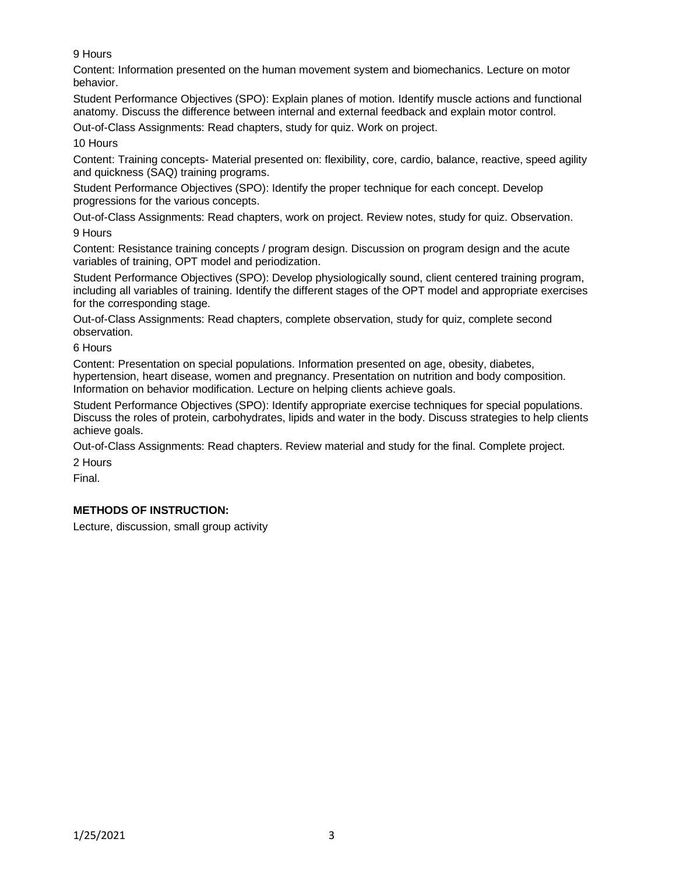9 Hours

Content: Information presented on the human movement system and biomechanics. Lecture on motor behavior.

Student Performance Objectives (SPO): Explain planes of motion. Identify muscle actions and functional anatomy. Discuss the difference between internal and external feedback and explain motor control.

Out-of-Class Assignments: Read chapters, study for quiz. Work on project.

10 Hours

Content: Training concepts- Material presented on: flexibility, core, cardio, balance, reactive, speed agility and quickness (SAQ) training programs.

Student Performance Objectives (SPO): Identify the proper technique for each concept. Develop progressions for the various concepts.

Out-of-Class Assignments: Read chapters, work on project. Review notes, study for quiz. Observation. 9 Hours

Content: Resistance training concepts / program design. Discussion on program design and the acute variables of training, OPT model and periodization.

Student Performance Objectives (SPO): Develop physiologically sound, client centered training program, including all variables of training. Identify the different stages of the OPT model and appropriate exercises for the corresponding stage.

Out-of-Class Assignments: Read chapters, complete observation, study for quiz, complete second observation.

6 Hours

Content: Presentation on special populations. Information presented on age, obesity, diabetes, hypertension, heart disease, women and pregnancy. Presentation on nutrition and body composition. Information on behavior modification. Lecture on helping clients achieve goals.

Student Performance Objectives (SPO): Identify appropriate exercise techniques for special populations. Discuss the roles of protein, carbohydrates, lipids and water in the body. Discuss strategies to help clients achieve goals.

Out-of-Class Assignments: Read chapters. Review material and study for the final. Complete project.

2 Hours

Final.

# **METHODS OF INSTRUCTION:**

Lecture, discussion, small group activity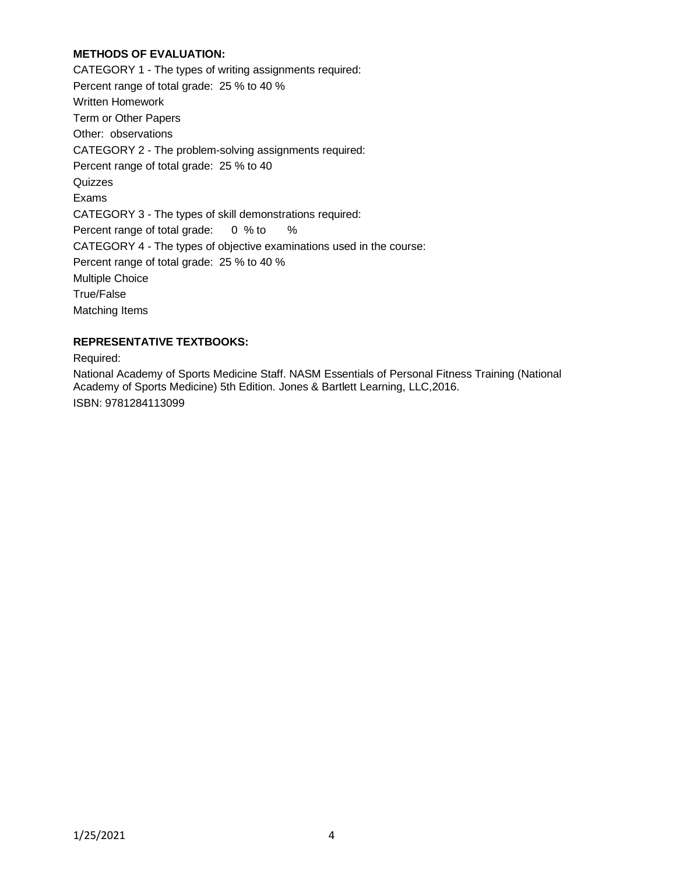# **METHODS OF EVALUATION:**

CATEGORY 1 - The types of writing assignments required: Percent range of total grade: 25 % to 40 % Written Homework Term or Other Papers Other: observations CATEGORY 2 - The problem-solving assignments required: Percent range of total grade: 25 % to 40 Quizzes Exams CATEGORY 3 - The types of skill demonstrations required: Percent range of total grade: 0 % to % CATEGORY 4 - The types of objective examinations used in the course: Percent range of total grade: 25 % to 40 % Multiple Choice True/False Matching Items

# **REPRESENTATIVE TEXTBOOKS:**

Required:

National Academy of Sports Medicine Staff. NASM Essentials of Personal Fitness Training (National Academy of Sports Medicine) 5th Edition. Jones & Bartlett Learning, LLC,2016. ISBN: 9781284113099